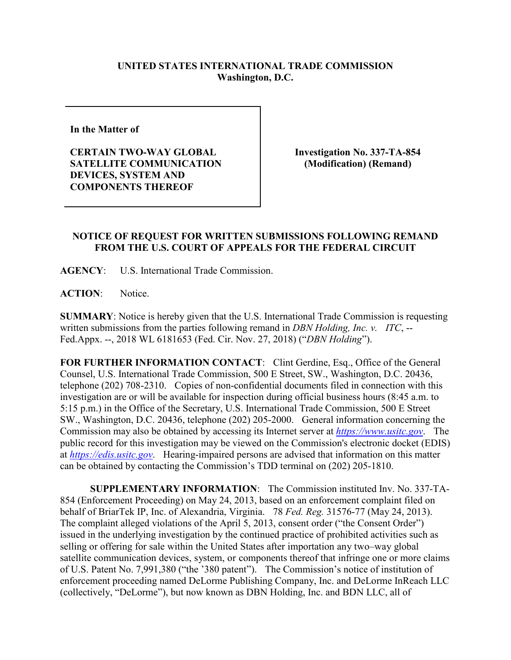## **UNITED STATES INTERNATIONAL TRADE COMMISSION Washington, D.C.**

**In the Matter of** 

**CERTAIN TWO-WAY GLOBAL SATELLITE COMMUNICATION DEVICES, SYSTEM AND COMPONENTS THEREOF**

**Investigation No. 337-TA-854 (Modification) (Remand)**

## **NOTICE OF REQUEST FOR WRITTEN SUBMISSIONS FOLLOWING REMAND FROM THE U.S. COURT OF APPEALS FOR THE FEDERAL CIRCUIT**

**AGENCY**: U.S. International Trade Commission.

**ACTION**: Notice.

**SUMMARY**: Notice is hereby given that the U.S. International Trade Commission is requesting written submissions from the parties following remand in *DBN Holding, Inc. v. ITC*, -- Fed.Appx. --, 2018 WL 6181653 (Fed. Cir. Nov. 27, 2018) ("*DBN Holding*").

**FOR FURTHER INFORMATION CONTACT**: Clint Gerdine, Esq., Office of the General Counsel, U.S. International Trade Commission, 500 E Street, SW., Washington, D.C. 20436, telephone (202) 708-2310. Copies of non-confidential documents filed in connection with this investigation are or will be available for inspection during official business hours (8:45 a.m. to 5:15 p.m.) in the Office of the Secretary, U.S. International Trade Commission, 500 E Street SW., Washington, D.C. 20436, telephone (202) 205-2000. General information concerning the Commission may also be obtained by accessing its Internet server at *[https://www.usitc.gov](https://www.usitc.gov/)*. The public record for this investigation may be viewed on the Commission's electronic docket (EDIS) at *[https://edis.usitc.gov](https://edis.usitc.gov/)*. Hearing-impaired persons are advised that information on this matter can be obtained by contacting the Commission's TDD terminal on (202) 205-1810.

**SUPPLEMENTARY INFORMATION**: The Commission instituted Inv. No. 337-TA-854 (Enforcement Proceeding) on May 24, 2013, based on an enforcement complaint filed on behalf of BriarTek IP, Inc. of Alexandria, Virginia. 78 *Fed. Reg.* 31576-77 (May 24, 2013). The complaint alleged violations of the April 5, 2013, consent order ("the Consent Order") issued in the underlying investigation by the continued practice of prohibited activities such as selling or offering for sale within the United States after importation any two–way global satellite communication devices, system, or components thereof that infringe one or more claims of U.S. Patent No. 7,991,380 ("the '380 patent"). The Commission's notice of institution of enforcement proceeding named DeLorme Publishing Company, Inc. and DeLorme InReach LLC (collectively, "DeLorme"), but now known as DBN Holding, Inc. and BDN LLC, all of